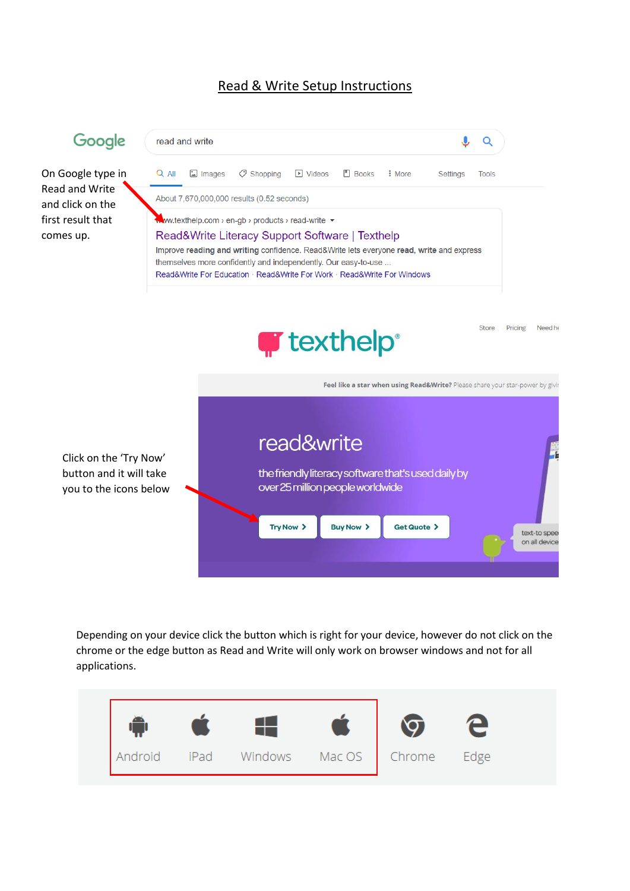## Read & Write Setup Instructions



Depending on your device click the button which is right for your device, however do not click on the chrome or the edge button as Read and Write will only work on browser windows and not for all applications.

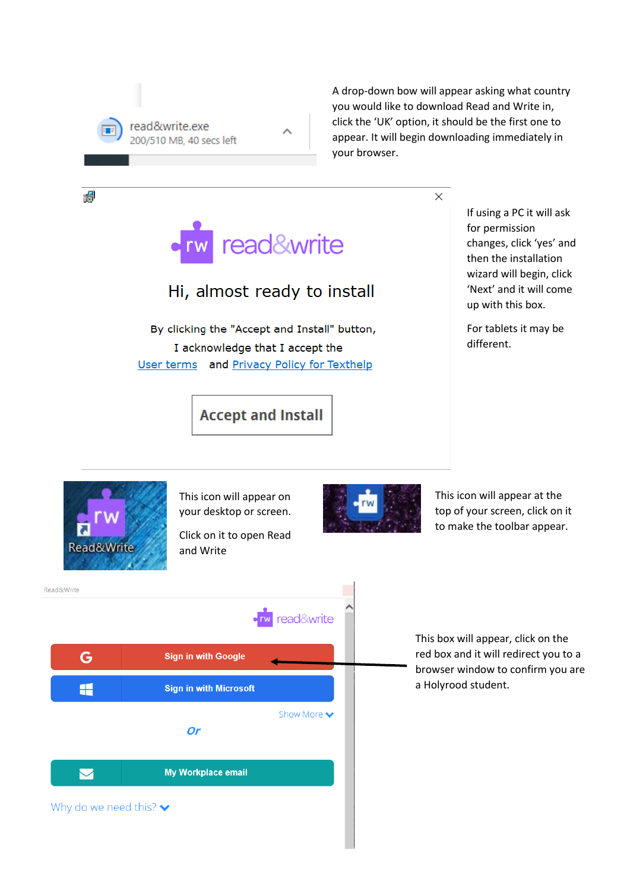

A drop-down bow will appear asking what country you would like to download Read and Write in, click the 'UK' option, it should be the first one to appear. It will begin downloading immediately in your browser.

 $\times$ 

rw read&write

## Hi, almost ready to install

By clicking the "Accept and Install" button, I acknowledge that I accept the User terms and Privacy Policy for Texthelp

**Accept and Install** 

If using a PC it will ask for permission changes, click 'yes' and then the installation wizard will begin, click 'Next' and it will come up with this box.

For tablets it may be different.



碍

This icon will appear on your desktop or screen.

Click on it to open Read and Write



This icon will appear at the top of your screen, click on it to make the toolbar appear.

Read&Write read&write G **Sign in with Google** Æ **Sign in with Microsoft** Show More v **Or** My Workplace email  $\bf \nabla$ Why do we need this?  $\blacktriangleright$ 

This box will appear, click on the red box and it will redirect you to a browser window to confirm you are a Holyrood student.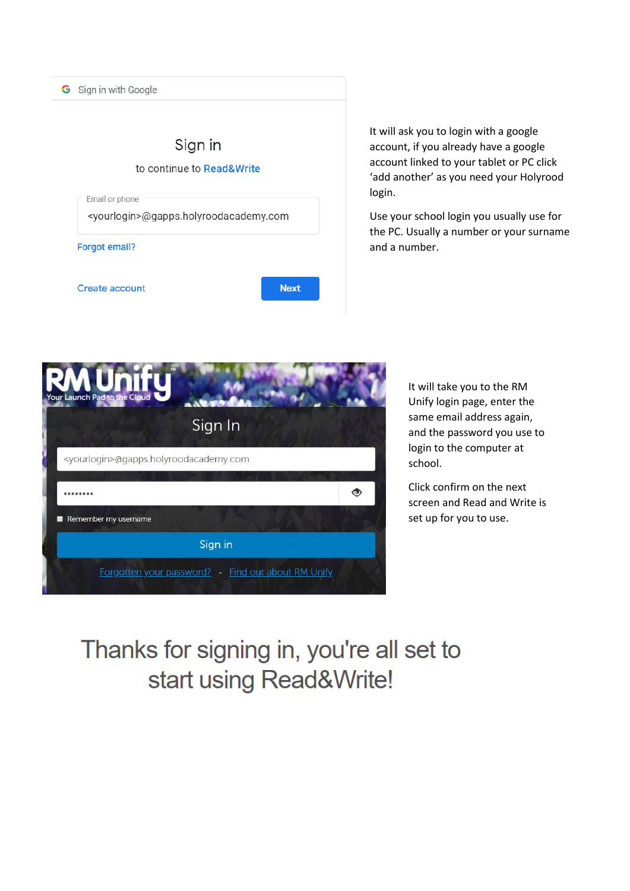

It will ask you to login with a google account, if you already have a google account linked to your tablet or PC click 'add another' as you need your Holyrood login.

Use your school login you usually use for the PC. Usually a number or your surname and a number.



It will take you to the RM Unify login page, enter the same email address again, and the password you use to login to the computer at school.

Click confirm on the next screen and Read and Write is set up for you to use.

## Thanks for signing in, you're all set to start using Read&Write!